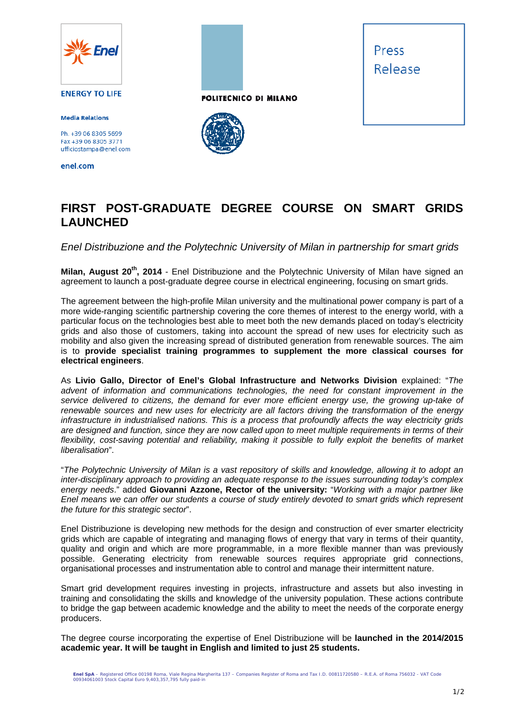

**ENERGY TO LIFE** 

**Media Relations** 

Ph. +39 06 8305 5699 Fax +39 06 8305 3771 ufficiostampa@enel.com

enel.com



**POLITECNICO DI MILANO** 





## **FIRST POST-GRADUATE DEGREE COURSE ON SMART GRIDS LAUNCHED**

*Enel Distribuzione and the Polytechnic University of Milan in partnership for smart grids* 

**Milan, August 20th, 2014** - Enel Distribuzione and the Polytechnic University of Milan have signed an agreement to launch a post-graduate degree course in electrical engineering, focusing on smart grids.

The agreement between the high-profile Milan university and the multinational power company is part of a more wide-ranging scientific partnership covering the core themes of interest to the energy world, with a particular focus on the technologies best able to meet both the new demands placed on today's electricity grids and also those of customers, taking into account the spread of new uses for electricity such as mobility and also given the increasing spread of distributed generation from renewable sources. The aim is to **provide specialist training programmes to supplement the more classical courses for electrical engineers**.

As **Livio Gallo, Director of Enel's Global Infrastructure and Networks Division** explained: "*The advent of information and communications technologies, the need for constant improvement in the service delivered to citizens, the demand for ever more efficient energy use, the growing up-take of renewable sources and new uses for electricity are all factors driving the transformation of the energy infrastructure in industrialised nations. This is a process that profoundly affects the way electricity grids are designed and function, since they are now called upon to meet multiple requirements in terms of their flexibility, cost-saving potential and reliability, making it possible to fully exploit the benefits of market liberalisation*".

"*The Polytechnic University of Milan is a vast repository of skills and knowledge, allowing it to adopt an inter-disciplinary approach to providing an adequate response to the issues surrounding today's complex energy needs*." added **Giovanni Azzone, Rector of the university:** "*Working with a major partner like Enel means we can offer our students a course of study entirely devoted to smart grids which represent the future for this strategic sector*".

Enel Distribuzione is developing new methods for the design and construction of ever smarter electricity grids which are capable of integrating and managing flows of energy that vary in terms of their quantity, quality and origin and which are more programmable, in a more flexible manner than was previously possible. Generating electricity from renewable sources requires appropriate grid connections, organisational processes and instrumentation able to control and manage their intermittent nature.

Smart grid development requires investing in projects, infrastructure and assets but also investing in training and consolidating the skills and knowledge of the university population. These actions contribute to bridge the gap between academic knowledge and the ability to meet the needs of the corporate energy producers.

The degree course incorporating the expertise of Enel Distribuzione will be **launched in the 2014/2015 academic year. It will be taught in English and limited to just 25 students.**